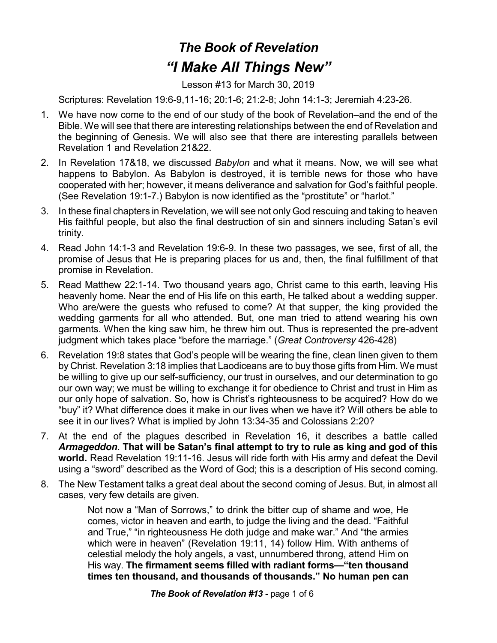## *The Book of Revelation "I Make All Things New"*

Lesson #13 for March 30, 2019

Scriptures: Revelation 19:6-9,11-16; 20:1-6; 21:2-8; John 14:1-3; Jeremiah 4:23-26.

- 1. We have now come to the end of our study of the book of Revelation–and the end of the Bible. We will see that there are interesting relationships between the end of Revelation and the beginning of Genesis. We will also see that there are interesting parallels between Revelation 1 and Revelation 21&22.
- 2. In Revelation 17&18, we discussed *Babylon* and what it means. Now, we will see what happens to Babylon. As Babylon is destroyed, it is terrible news for those who have cooperated with her; however, it means deliverance and salvation for God's faithful people. (See Revelation 19:1-7.) Babylon is now identified as the "prostitute" or "harlot."
- 3. In these final chapters in Revelation, we will see not only God rescuing and taking to heaven His faithful people, but also the final destruction of sin and sinners including Satan's evil trinity.
- 4. Read John 14:1-3 and Revelation 19:6-9. In these two passages, we see, first of all, the promise of Jesus that He is preparing places for us and, then, the final fulfillment of that promise in Revelation.
- 5. Read Matthew 22:1-14. Two thousand years ago, Christ came to this earth, leaving His heavenly home. Near the end of His life on this earth, He talked about a wedding supper. Who are/were the guests who refused to come? At that supper, the king provided the wedding garments for all who attended. But, one man tried to attend wearing his own garments. When the king saw him, he threw him out. Thus is represented the pre-advent judgment which takes place "before the marriage." (*Great Controversy* 426-428)
- 6. Revelation 19:8 states that God's people will be wearing the fine, clean linen given to them by Christ. Revelation 3:18 implies that Laodiceans are to buy those gifts from Him. We must be willing to give up our self-sufficiency, our trust in ourselves, and our determination to go our own way; we must be willing to exchange it for obedience to Christ and trust in Him as our only hope of salvation. So, how is Christ's righteousness to be acquired? How do we "buy" it? What difference does it make in our lives when we have it? Will others be able to see it in our lives? What is implied by John 13:34-35 and Colossians 2:20?
- 7. At the end of the plagues described in Revelation 16, it describes a battle called *Armageddon*. **That will be Satan's final attempt to try to rule as king and god of this world.** Read Revelation 19:11-16. Jesus will ride forth with His army and defeat the Devil using a "sword" described as the Word of God; this is a description of His second coming.
- 8. The New Testament talks a great deal about the second coming of Jesus. But, in almost all cases, very few details are given.

Not now a "Man of Sorrows," to drink the bitter cup of shame and woe, He comes, victor in heaven and earth, to judge the living and the dead. "Faithful and True," "in righteousness He doth judge and make war." And "the armies which were in heaven" (Revelation 19:11, 14) follow Him. With anthems of celestial melody the holy angels, a vast, unnumbered throng, attend Him on His way. **The firmament seems filled with radiant forms—"ten thousand times ten thousand, and thousands of thousands." No human pen can**

*The Book of Revelation #13* **-** page 1 of 6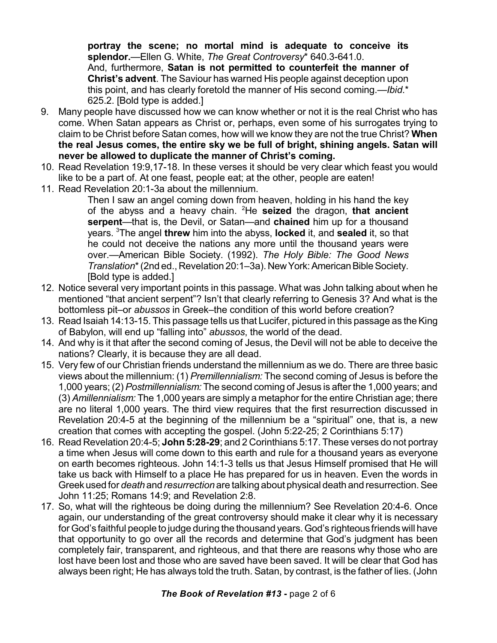**portray the scene; no mortal mind is adequate to conceive its splendor.**—Ellen G. White, *The Great Controversy*\* 640.3-641.0. And, furthermore, **Satan is not permitted to counterfeit the manner of Christ's advent**. The Saviour has warned His people against deception upon this point, and has clearly foretold the manner of His second coming.—*Ibid*.\* 625.2. [Bold type is added.]

- 9. Many people have discussed how we can know whether or not it is the real Christ who has come. When Satan appears as Christ or, perhaps, even some of his surrogates trying to claim to be Christ before Satan comes, how will we know they are not the true Christ? **When the real Jesus comes, the entire sky we be full of bright, shining angels. Satan will never be allowed to duplicate the manner of Christ's coming.**
- 10. Read Revelation 19:9,17-18. In these verses it should be very clear which feast you would like to be a part of. At one feast, people eat; at the other, people are eaten!
- 11. Read Revelation 20:1-3a about the millennium.

Then I saw an angel coming down from heaven, holding in his hand the key of the abyss and a heavy chain. <sup>2</sup>He **seized** the dragon, **that ancient serpent**—that is, the Devil, or Satan—and **chained** him up for a thousand years. <sup>3</sup>The angel **threw** him into the abyss, **locked** it, and **sealed** it, so that he could not deceive the nations any more until the thousand years were over.—American Bible Society. (1992). *The Holy Bible: The Good News Translation*\* (2nd ed., Revelation 20:1–3a). New York: American Bible Society. [Bold type is added.]

- 12. Notice several very important points in this passage. What was John talking about when he mentioned "that ancient serpent"? Isn't that clearly referring to Genesis 3? And what is the bottomless pit–or *abussos* in Greek–the condition of this world before creation?
- 13. Read Isaiah 14:13-15. This passage tells us that Lucifer, pictured in this passage as the King of Babylon, will end up "falling into" *abussos*, the world of the dead.
- 14. And why is it that after the second coming of Jesus, the Devil will not be able to deceive the nations? Clearly, it is because they are all dead.
- 15. Very few of our Christian friends understand the millennium as we do. There are three basic views about the millennium: (1) *Premillennialism:* The second coming of Jesus is before the 1,000 years; (2) *Postmillennialism:* The second coming of Jesus is after the 1,000 years; and (3) *Amillennialism:* The 1,000 years are simply a metaphor for the entire Christian age; there are no literal 1,000 years. The third view requires that the first resurrection discussed in Revelation 20:4-5 at the beginning of the millennium be a "spiritual" one, that is, a new creation that comes with accepting the gospel. (John 5:22-25; 2 Corinthians 5:17)
- 16. Read Revelation 20:4-5; **John 5:28-29**; and 2 Corinthians 5:17. These verses do not portray a time when Jesus will come down to this earth and rule for a thousand years as everyone on earth becomes righteous. John 14:1-3 tells us that Jesus Himself promised that He will take us back with Himself to a place He has prepared for us in heaven. Even the words in Greekused for *death* and *resurrection* are talking about physical death and resurrection.See John 11:25; Romans 14:9; and Revelation 2:8.
- 17. So, what will the righteous be doing during the millennium? See Revelation 20:4-6. Once again, our understanding of the great controversy should make it clear why it is necessary for God's faithful people to judge during the thousand years.God's righteous friends will have that opportunity to go over all the records and determine that God's judgment has been completely fair, transparent, and righteous, and that there are reasons why those who are lost have been lost and those who are saved have been saved. It will be clear that God has always been right; He has always told the truth. Satan, by contrast, is the father of lies. (John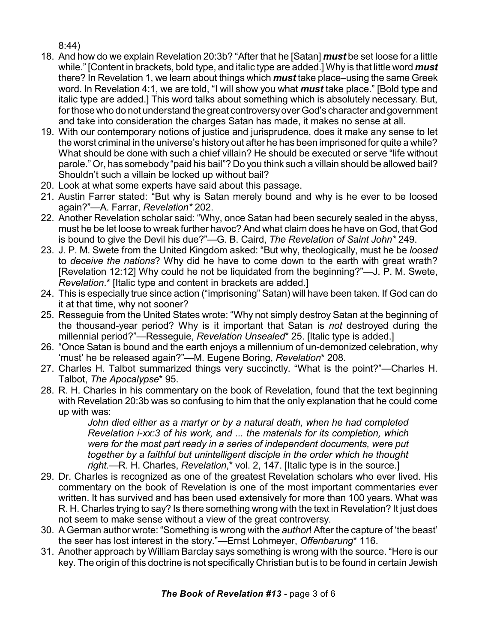8:44)

- 18. And how do we explain Revelation 20:3b? "After that he [Satan] *must* be set loose for a little while." [Content in brackets, bold type, and italic type are added.] Why is that little word *must* there? In Revelation 1, we learn about things which *must* take place–using the same Greek word. In Revelation 4:1, we are told, "I will show you what *must* take place." [Bold type and italic type are added.] This word talks about something which is absolutely necessary. But, for those who do not understand the great controversyover God's character andgovernment and take into consideration the charges Satan has made, it makes no sense at all.
- 19. With our contemporary notions of justice and jurisprudence, does it make any sense to let the worst criminal in the universe's history out after he has been imprisoned for quite a while? What should be done with such a chief villain? He should be executed or serve "life without parole." Or, has somebody "paid his bail"? Do you think such a villain should be allowed bail? Shouldn't such a villain be locked up without bail?
- 20. Look at what some experts have said about this passage.
- 21. Austin Farrer stated: "But why is Satan merely bound and why is he ever to be loosed again?"—A. Farrar, *Revelation\** 202.
- 22. Another Revelation scholar said: "Why, once Satan had been securely sealed in the abyss, must he be let loose to wreak further havoc? And what claim does he have on God, that God is bound to give the Devil his due?"—G. B. Caird, *The Revelation of Saint John\** 249.
- 23. J. P. M. Swete from the United Kingdom asked: "But why, theologically, must he be *loosed* to *deceive the nations*? Why did he have to come down to the earth with great wrath? [Revelation 12:12] Why could he not be liquidated from the beginning?"—J. P. M. Swete, *Revelation*.\* [Italic type and content in brackets are added.]
- 24. This is especially true since action ("imprisoning" Satan) will have been taken. If God can do it at that time, why not sooner?
- 25. Resseguie from the United States wrote: "Why not simply destroy Satan at the beginning of the thousand-year period? Why is it important that Satan is *not* destroyed during the millennial period?"—Resseguie, *Revelation Unsealed*\* 25. [Italic type is added.]
- 26. "Once Satan is bound and the earth enjoys a millennium of un-demonized celebration, why 'must' he be released again?"—M. Eugene Boring, *Revelation*\* 208.
- 27. Charles H. Talbot summarized things very succinctly. "What is the point?"—Charles H. Talbot, *The Apocalypse*\* 95.
- 28. R. H. Charles in his commentary on the book of Revelation, found that the text beginning with Revelation 20:3b was so confusing to him that the only explanation that he could come up with was:

*John died either as a martyr or by a natural death, when he had completed Revelation i-xx:3 of his work, and ... the materials for its completion, which were for the most part ready in a series of independent documents, were put together by a faithful but unintelligent disciple in the order which he thought right.*—R. H. Charles, *Revelation*,\* vol. 2, 147. [Italic type is in the source.]

- 29. Dr. Charles is recognized as one of the greatest Revelation scholars who ever lived. His commentary on the book of Revelation is one of the most important commentaries ever written. It has survived and has been used extensively for more than 100 years. What was R. H. Charles trying to say? Is there something wrong with the text in Revelation? It just does not seem to make sense without a view of the great controversy.
- 30. A German author wrote: "Something is wrong with the *author*! After the capture of 'the beast' the seer has lost interest in the story."—Ernst Lohmeyer, *Offenbarung*\* 116.
- 31. Another approach by William Barclay says something is wrong with the source. "Here is our key. The origin of this doctrine is not specifically Christian but is to be found in certain Jewish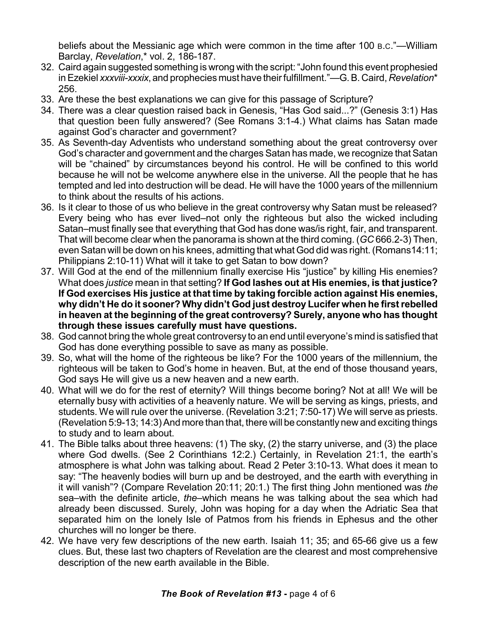beliefs about the Messianic age which were common in the time after 100 B.C."—William Barclay, *Revelation*,\* vol. 2, 186-187.

- 32. Caird again suggested something is wrong with the script:"John found this event prophesied inEzekiel *xxxviii-xxxix*, and prophecies must have their fulfillment."—G.B. Caird, *Revelation*\* 256.
- 33. Are these the best explanations we can give for this passage of Scripture?
- 34. There was a clear question raised back in Genesis, "Has God said...?" (Genesis 3:1) Has that question been fully answered? (See Romans 3:1-4.) What claims has Satan made against God's character and government?
- 35. As Seventh-day Adventists who understand something about the great controversy over God's character and government and the charges Satan has made, we recognize thatSatan will be "chained" by circumstances beyond his control. He will be confined to this world because he will not be welcome anywhere else in the universe. All the people that he has tempted and led into destruction will be dead. He will have the 1000 years of the millennium to think about the results of his actions.
- 36. Is it clear to those of us who believe in the great controversy why Satan must be released? Every being who has ever lived–not only the righteous but also the wicked including Satan–must finally see that everything that God has done was/is right, fair, and transparent. That will become clear when the panorama is shown at the third coming. (*GC* 666.2-3) Then, even Satan will be down on his knees, admitting that what God did was right. (Romans14:11; Philippians 2:10-11) What will it take to get Satan to bow down?
- 37. Will God at the end of the millennium finally exercise His "justice" by killing His enemies? What does *justice* mean in that setting? **If God lashes out at His enemies, is that justice? If God exercises His justice at that time by taking forcible action against His enemies, why didn't He do it sooner? Why didn't God just destroy Lucifer when he first rebelled in heaven at the beginning of the great controversy? Surely, anyone who has thought through these issues carefully must have questions.**
- 38. God cannot bring the whole great controversy to an end until everyone's mind is satisfied that God has done everything possible to save as many as possible.
- 39. So, what will the home of the righteous be like? For the 1000 years of the millennium, the righteous will be taken to God's home in heaven. But, at the end of those thousand years, God says He will give us a new heaven and a new earth.
- 40. What will we do for the rest of eternity? Will things become boring? Not at all! We will be eternally busy with activities of a heavenly nature. We will be serving as kings, priests, and students. We will rule over the universe. (Revelation 3:21; 7:50-17) We will serve as priests. (Revelation 5:9-13; 14:3) And more than that, there will be constantly new and exciting things to study and to learn about.
- 41. The Bible talks about three heavens: (1) The sky, (2) the starry universe, and (3) the place where God dwells. (See 2 Corinthians 12:2.) Certainly, in Revelation 21:1, the earth's atmosphere is what John was talking about. Read 2 Peter 3:10-13. What does it mean to say: "The heavenly bodies will burn up and be destroyed, and the earth with everything in it will vanish"? (Compare Revelation 20:11; 20:1.) The first thing John mentioned was *the* sea–with the definite article, *the*–which means he was talking about the sea which had already been discussed. Surely, John was hoping for a day when the Adriatic Sea that separated him on the lonely Isle of Patmos from his friends in Ephesus and the other churches will no longer be there.
- 42. We have very few descriptions of the new earth. Isaiah 11; 35; and 65-66 give us a few clues. But, these last two chapters of Revelation are the clearest and most comprehensive description of the new earth available in the Bible.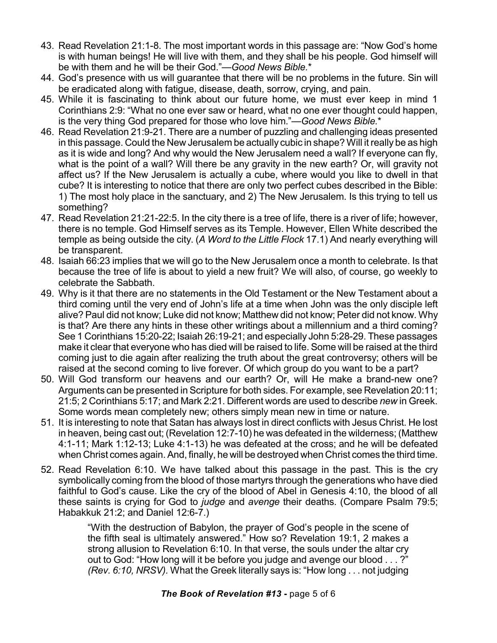- 43. Read Revelation 21:1-8. The most important words in this passage are: "Now God's home is with human beings! He will live with them, and they shall be his people. God himself will be with them and he will be their God."—*Good News Bible.*\*
- 44. God's presence with us will guarantee that there will be no problems in the future. Sin will be eradicated along with fatigue, disease, death, sorrow, crying, and pain.
- 45. While it is fascinating to think about our future home, we must ever keep in mind 1 Corinthians 2:9: "What no one ever saw or heard, what no one ever thought could happen, is the very thing God prepared for those who love him."—*Good News Bible.*\*
- 46. Read Revelation 21:9-21. There are a number of puzzling and challenging ideas presented in this passage. Could the New Jerusalem be actually cubic in shape? Will it really be as high as it is wide and long? And why would the New Jerusalem need a wall? If everyone can fly, what is the point of a wall? Will there be any gravity in the new earth? Or, will gravity not affect us? If the New Jerusalem is actually a cube, where would you like to dwell in that cube? It is interesting to notice that there are only two perfect cubes described in the Bible: 1) The most holy place in the sanctuary, and 2) The New Jerusalem. Is this trying to tell us something?
- 47. Read Revelation 21:21-22:5. In the city there is a tree of life, there is a river of life; however, there is no temple. God Himself serves as its Temple. However, Ellen White described the temple as being outside the city. (*A Word to the Little Flock* 17.1) And nearly everything will be transparent.
- 48. Isaiah 66:23 implies that we will go to the New Jerusalem once a month to celebrate. Is that because the tree of life is about to yield a new fruit? We will also, of course, go weekly to celebrate the Sabbath.
- 49. Why is it that there are no statements in the Old Testament or the New Testament about a third coming until the very end of John's life at a time when John was the only disciple left alive? Paul did not know; Luke did not know; Matthew did not know; Peter did not know. Why is that? Are there any hints in these other writings about a millennium and a third coming? See 1 Corinthians 15:20-22; Isaiah 26:19-21; and especially John 5:28-29. These passages make it clear that everyone who has died will be raised to life. Some will be raised at the third coming just to die again after realizing the truth about the great controversy; others will be raised at the second coming to live forever. Of which group do you want to be a part?
- 50. Will God transform our heavens and our earth? Or, will He make a brand-new one? Arguments can be presented in Scripture for both sides. For example, see Revelation 20:11; 21:5; 2 Corinthians 5:17; and Mark 2:21. Different words are used to describe *new* in Greek. Some words mean completely new; others simply mean new in time or nature.
- 51. It is interesting to note that Satan has always lost in direct conflicts with Jesus Christ. He lost in heaven, being cast out; (Revelation 12:7-10) he was defeated in the wilderness; (Matthew 4:1-11; Mark 1:12-13; Luke 4:1-13) he was defeated at the cross; and he will be defeated when Christ comes again. And, finally, he will be destroyed when Christ comes the third time.
- 52. Read Revelation 6:10. We have talked about this passage in the past. This is the cry symbolically coming from the blood of those martyrs through the generations who have died faithful to God's cause. Like the cry of the blood of Abel in Genesis 4:10, the blood of all these saints is crying for God to *judge* and *avenge* their deaths. (Compare Psalm 79:5; Habakkuk 21:2; and Daniel 12:6-7.)

"With the destruction of Babylon, the prayer of God's people in the scene of the fifth seal is ultimately answered." How so? Revelation 19:1, 2 makes a strong allusion to Revelation 6:10. In that verse, the souls under the altar cry out to God: "How long will it be before you judge and avenge our blood . . . ?" *(Rev. 6:10, NRSV).* What the Greek literally says is: "How long . . . not judging

## *The Book of Revelation #13* **-** page 5 of 6